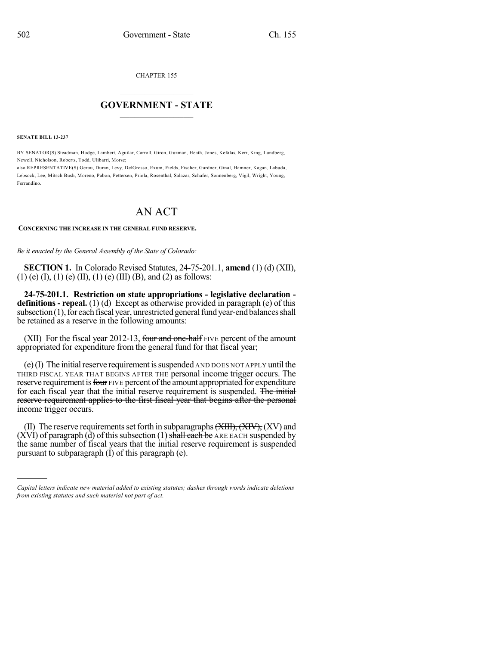CHAPTER 155

## $\overline{\phantom{a}}$  . The set of the set of the set of the set of the set of the set of the set of the set of the set of the set of the set of the set of the set of the set of the set of the set of the set of the set of the set o **GOVERNMENT - STATE**  $\_$

**SENATE BILL 13-237**

)))))

BY SENATOR(S) Steadman, Hodge, Lambert, Aguilar, Carroll, Giron, Guzman, Heath, Jones, Kefalas, Kerr, King, Lundberg, Newell, Nicholson, Roberts, Todd, Ulibarri, Morse;

also REPRESENTATIVE(S) Gerou, Duran, Levy, DelGrosso, Exum, Fields, Fischer, Gardner, Ginal, Hamner, Kagan, Labuda, Lebsock, Lee, Mitsch Bush, Moreno, Pabon, Pettersen, Priola, Rosenthal, Salazar, Schafer, Sonnenberg, Vigil, Wright, Young, Ferrandino.

## AN ACT

## **CONCERNING THE INCREASE IN THE GENERAL FUND RESERVE.**

*Be it enacted by the General Assembly of the State of Colorado:*

**SECTION 1.** In Colorado Revised Statutes, 24-75-201.1, **amend** (1) (d) (XII),  $(1)$  (e)  $(I)$ ,  $(1)$  (e)  $(II)$ ,  $(1)$  (e)  $(III)$  (B), and  $(2)$  as follows:

**24-75-201.1. Restriction on state appropriations - legislative declaration definitions - repeal.** (1) (d) Except as otherwise provided in paragraph (e) of this subsection  $(1)$ , for each fiscal year, unrestricted general fund year-end balances shall be retained as a reserve in the following amounts:

(XII) For the fiscal year 2012-13, four and one-half FIVE percent of the amount appropriated for expenditure from the general fund for that fiscal year;

 $(e)$ (I) The initial reserve requirement is suspended AND DOES NOT APPLY until the THIRD FISCAL YEAR THAT BEGINS AFTER THE personal income trigger occurs. The reserve requirement is four FIVE percent of the amount appropriated for expenditure for each fiscal year that the initial reserve requirement is suspended. The initial reserve requirement applies to the first fiscal year that begins after the personal income trigger occurs.

(II) The reserve requirements set forth in subparagraphs  $(XIII), (XIV), (XV)$  and  $(XVI)$  of paragraph  $(d)$  of this subsection (1) shall each be ARE EACH suspended by the same number of fiscal years that the initial reserve requirement is suspended pursuant to subparagraph  $(I)$  of this paragraph  $(e)$ .

*Capital letters indicate new material added to existing statutes; dashes through words indicate deletions from existing statutes and such material not part of act.*